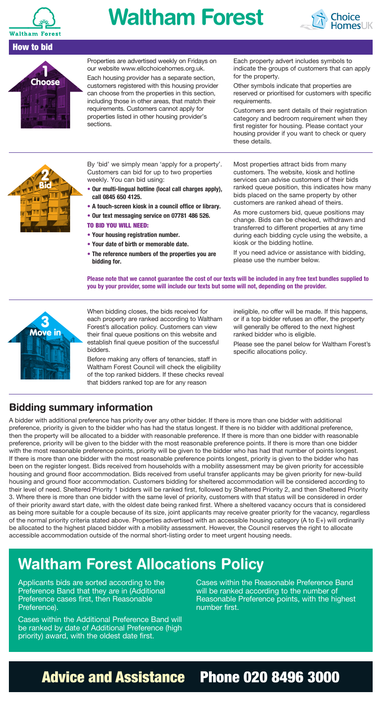

How to bid

## **Waltham Forest**





Properties are advertised weekly on Fridays on our website www.ellcchoicehomes.org.uk.

Each housing provider has a separate section, customers registered with this housing provider can choose from the properties in this section, including those in other areas, that match their requirements. Customers cannot apply for properties listed in other housing provider's sections.

Each property advert includes symbols to indicate the groups of customers that can apply for the property.

Other symbols indicate that properties are reserved or prioritised for customers with specific requirements.

Customers are sent details of their registration category and bedroom requirement when they first register for housing. Please contact your housing provider if you want to check or query these details.



By 'bid' we simply mean 'apply for a property'. Customers can bid for up to two properties weekly. You can bid using:

- **• Our multi-lingual hotline (local call charges apply), call 0845 650 4125.**
- **A touch-screen kiosk in a council office or library.**
- **• Our text messaging service on 07781 486 526.**

TO BID YOU WILL NEED:

- **• Your housing registration number.**
- **• Your date of birth or memorable date.**
- **• The reference numbers of the properties you are bidding for.**

Most properties attract bids from many customers. The website, kiosk and hotline services can advise customers of their bids ranked queue position, this indicates how many bids placed on the same property by other customers are ranked ahead of theirs.

As more customers bid, queue positions may change. Bids can be checked, withdrawn and transferred to different properties at any time during each bidding cycle using the website, a kiosk or the bidding hotline.

If you need advice or assistance with bidding, please use the number below.

**Please note that we cannot guarantee the cost of our texts will be included in any free text bundles supplied to you by your provider, some will include our texts but some will not, depending on the provider.**



When bidding closes, the bids received for each property are ranked according to Waltham Forest's allocation policy. Customers can view their final queue positions on this website and establish final queue position of the successful bidders.

Before making any offers of tenancies, staff in Waltham Forest Council will check the eligibility of the top ranked bidders. If these checks reveal that bidders ranked top are for any reason

ineligible, no offer will be made. If this happens, or if a top bidder refuses an offer, the property will generally be offered to the next highest ranked bidder who is eligible.

Please see the panel below for Waltham Forest's specific allocations policy.

#### **Bidding summary information**

A bidder with additional preference has priority over any other bidder. If there is more than one bidder with additional preference, priority is given to the bidder who has had the status longest. If there is no bidder with additional preference, then the property will be allocated to a bidder with reasonable preference. If there is more than one bidder with reasonable preference, priority will be given to the bidder with the most reasonable preference points. If there is more than one bidder with the most reasonable preference points, priority will be given to the bidder who has had that number of points longest. If there is more than one bidder with the most reasonable preference points longest, priority is given to the bidder who has been on the register longest. Bids received from households with a mobility assessment may be given priority for accessible housing and ground floor accommodation. Bids received from useful transfer applicants may be given priority for new-build housing and ground floor accommodation. Customers bidding for sheltered accommodation will be considered according to their level of need. Sheltered Priority 1 bidders will be ranked first, followed by Sheltered Priority 2, and then Sheltered Priority 3. Where there is more than one bidder with the same level of priority, customers with that status will be considered in order of their priority award start date, with the oldest date being ranked first. Where a sheltered vacancy occurs that is considered as being more suitable for a couple because of its size, joint applicants may receive greater priority for the vacancy, regardless of the normal priority criteria stated above. Properties advertised with an accessible housing category (A to E+) will ordinarily be allocated to the highest placed bidder with a mobility assessment. However, the Council reserves the right to allocate accessible accommodation outside of the normal short-listing order to meet urgent housing needs.

### **Waltham Forest Allocations Policy**

Applicants bids are sorted according to the Preference Band that they are in (Additional Preference cases first, then Reasonable Preference).

Cases within the Additional Preference Band will be ranked by date of Additional Preference (high priority) award, with the oldest date first.

Cases within the Reasonable Preference Band will be ranked according to the number of Reasonable Preference points, with the highest number first.

### Advice and Assistance Phone 020 8496 3000